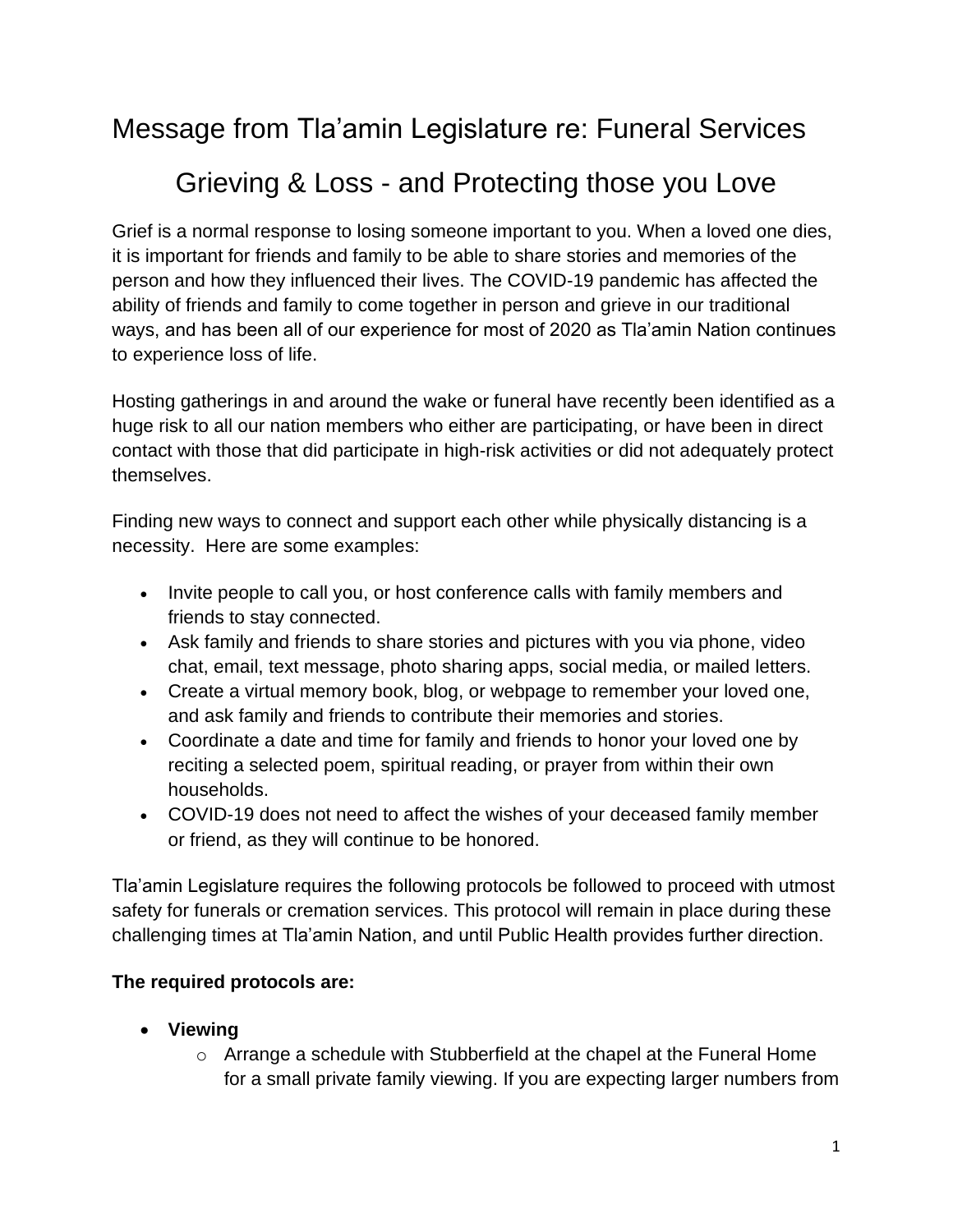Message from Tla'amin Legislature re: Funeral Services

# Grieving & Loss - and Protecting those you Love

Grief is a normal response to losing someone important to you. When a loved one dies, it is important for friends and family to be able to share stories and memories of the person and how they influenced their lives. The COVID-19 pandemic has affected the ability of friends and family to come together in person and grieve in our traditional ways, and has been all of our experience for most of 2020 as Tla'amin Nation continues to experience loss of life.

Hosting gatherings in and around the wake or funeral have recently been identified as a huge risk to all our nation members who either are participating, or have been in direct contact with those that did participate in high-risk activities or did not adequately protect themselves.

Finding new ways to connect and support each other while physically distancing is a necessity. Here are some examples:

- Invite people to call you, or host conference calls with family members and friends to stay connected.
- Ask family and friends to share stories and pictures with you via phone, video chat, email, text message, photo sharing apps, social media, or mailed letters.
- Create a virtual memory book, blog, or webpage to remember your loved one, and ask family and friends to contribute their memories and stories.
- Coordinate a date and time for family and friends to honor your loved one by reciting a selected poem, spiritual reading, or prayer from within their own households.
- COVID-19 does not need to affect the wishes of your deceased family member or friend, as they will continue to be honored.

Tla'amin Legislature requires the following protocols be followed to proceed with utmost safety for funerals or cremation services. This protocol will remain in place during these challenging times at Tla'amin Nation, and until Public Health provides further direction.

# **The required protocols are:**

- **Viewing** 
	- o Arrange a schedule with Stubberfield at the chapel at the Funeral Home for a small private family viewing. If you are expecting larger numbers from